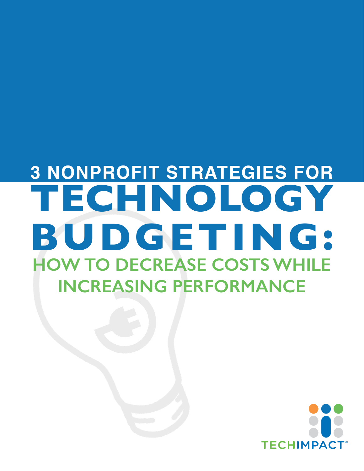# **3 Nonprofit Strategies for Technology Budgeting: HOW TO DECREASE COSTS WHILE Increasing Performance**

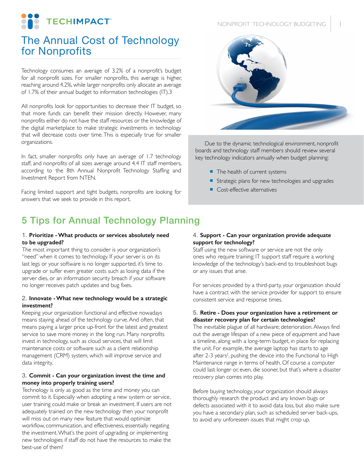

# The Annual Cost of Technology for Nonprofits

Technology consumes an average of 3.2% of a nonprofit's budget for all nonprofit sizes. For smaller nonprofits, this average is higher, reaching around 4.2%, while larger nonprofits only allocate an average of 1.7% of their annual budget to information technologies (IT).3

All nonprofits look for opportunities to decrease their IT budget, so that more funds can benefit their mission directly. However, many nonprofits either do not have the staff resources or the knowledge of the digital marketplace to make strategic investments in technology that will decrease costs over time. This is especially true for smaller organizations.

In fact, smaller nonprofits only have an average of 1.7 technology staff, and nonprofits of all sizes average around 4.4 IT staff members, according to the 8th Annual Nonprofit Technology Staffing and Investment Report from NTEN.

Facing limited support and tight budgets, nonprofits are looking for answers that we seek to provide in this report.

## NONPROFIT TECHNOLOGY BUDGETING 1



Due to the dynamic technological environment, nonprofit boards and technology staff members should review several key technology indicators annually when budget planning:

- The health of current systems
- Strategic plans for new technologies and upgrades
- Cost-effective alternatives

## 5 Tips for Annual Technology Planning

#### 1. **Prioritize - What products or services absolutely need to be upgraded?**

The most important thing to consider is your organization's "need" when it comes to technology. If your server is on its last legs or your software is no longer supported, it's time to upgrade or suffer even greater costs such as losing data if the server dies, or an information security breach if your software no longer receives patch updates and bug fixes.

#### 2. **Innovate - What new technology would be a strategic investment?**

Keeping your organization functional and effective nowadays means staying ahead of the technology curve. And often, that means paying a larger price up-front for the latest and greatest service to save more money in the long run. Many nonprofits invest in technology, such as cloud services, that will limit maintenance costs or software such as a client relationship management (CRM) system, which will improve service and data integrity.

#### 3. **Commit - Can your organization invest the time and money into properly training users?**

Technology is only as good as the time and money you can commit to it. Especially when adopting a new system or service, user training could make or break an investment. If users are not adequately trained on the new technology then your nonprofit will miss out on many new feature that would optimize workflow, communication, and effectiveness, essentially negating the investment. What's the point of upgrading or implementing new technologies if staff do not have the resources to make the best-use of them?

#### 4. **Support - Can your organization provide adequate support for technology?**

Staff using the new software or service are not the only ones who require training; IT support staff require a working knowledge of the technology's back-end to troubleshoot bugs or any issues that arise.

For services provided by a third-party, your organization should have a contract with the service provider for support to ensure consistent service and response times.

#### 5. **Retire - Does your organization have a retirement or disaster recovery plan for certain technologies?**

The inevitable plague of all hardware; deterioration. Always find out the average lifespan of a new piece of equipment and have a timeline, along with a long-term budget, in place for replacing the unit. For example, the average laptop has starts to age after 2-3 years<sup>2</sup>, pushing the device into the Functional to High Maintenance range in terms of health. Of course a computer could last longer or, even, die sooner, but that's where a disaster recovery plan comes into play.

Before buying technology, your organization should always thoroughly research the product and any known bugs or defects associated with it to avoid data loss, but also make sure you have a secondary plan, such as scheduled server back-ups, to avoid any unforeseen issues that might crop up.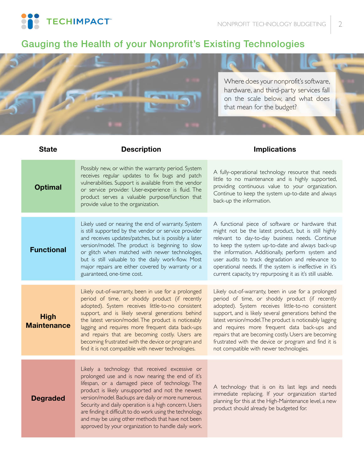**TECHIMPACT** 

# Gauging the Health of your Nonprofit's Existing Technologies



the information. Additionally, perform system and user audits to track degradation and relevance to operational needs. If the system is ineffective in it's current capacity, try repurposing it as it's still usable.

Likely out-of-warranty, been in use for a prolonged period of time, or shoddy product (if recently adopted). System receives little-to-no consistent support, and is likely several generations behind the latest version/model. The product is noticeably lagging and requires more frequent data back-ups and repairs that are becoming costly. Users are becoming frustrated with the device or program and find it is not compatible with newer technologies.

Likely a technology that received excessive or prolonged use and is now nearing the end of it's lifespan, or a damaged piece of technology. The product is likely unsupported and not the newest version/model. Backups are daily or more numerous. Security and daily operation is a high concern. Users are finding it difficult to do work using the technology, and may be using other methods that have not been approved by your organization to handle daily work.

but is still valuable to the daily work-flow. Most major repairs are either covered by warranty or a

Likely out-of-warranty, been in use for a prolonged period of time, or shoddy product (if recently adopted). System receives little-to-no consistent support, and is likely several generations behind the latest version/model. The product is noticeably lagging and requires more frequent data back-ups and repairs that are becoming costly. Users are becoming frustrated with the device or program and find it is not compatible with newer technologies.

guaranteed, one-time cost.

**High Maintenance**

**Degraded**

A technology that is on its last legs and needs immediate replacing. If your organization started planning for this at the High-Maintenance level, a new product should already be budgeted for.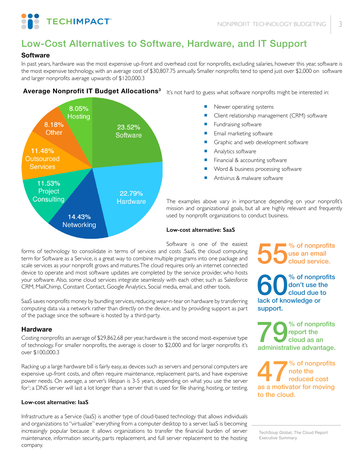

# Low-Cost Alternatives to Software, Hardware, and IT Support

## **Software**

In past years, hardware was the most expensive up-front and overhead cost for nonprofits, excluding salaries, however this year, software is the most expensive technology, with an average cost of \$30,807.75 annually. Smaller nonprofits tend to spend just over \$2,000 on software and larger nonprofits average upwards of \$120,000.3



**Average Nonprofit IT Budget Allocations3** It's not hard to guess what software nonprofits might be interested in:

- Newer operating systems
- Client relationship management (CRM) software
- Fundraising software
- Email marketing software
- Graphic and web development software
- Analytics software
- Financial & accounting software
- Word & business processing software
- Antivirus & malware software

The examples above vary in importance depending on your nonprofit's mission and organizational goals, but all are highly relevant and frequently used by nonprofit organizations to conduct business.

#### **Low-cost alternative: SaaS**

Software is one of the easiest

forms of technology to consolidate in terms of services and costs .SaaS, the cloud computing term for Software as a Service, is a great way to combine multiple programs into one package and scale services as your nonprofit grows and matures. The cloud requires only an internet connected device to operate and most software updates are completed by the service provider, who hosts your software. Also, some cloud services integrate seamlessly with each other, such as Salesforce CRM, MailChimp, Constant Contact, Google Analytics, Social media, email, and other tools.

SaaS saves nonprofits money by bundling services, reducing wear-n-tear on hardware by transferring computing data via a network rather than directly on the device, and by providing support as part of the package since the software is hosted by a third-party.

## **Hardware**

Costing nonprofits an average of \$29,862.68 per year, hardware is the second most-expensive type of technology. For smaller nonprofits, the average is closer to \$2,000 and for larger nonprofits it's over \$100,000.3

Racking up a large hardware bill is fairly easy, as devices such as servers and personal computers are expensive up-front costs, and often require maintenance, replacement parts, and have expensive power needs. On average, a server's lifespan is 3-5 years, depending on what you use the server for'; a DNS server will last a lot longer than a server that is used for file sharing, hosting, or testing.

## **Low-cost alternative: IaaS**

Infrastructure as a Service (IaaS) is another type of cloud-based technology that allows individuals and organizations to "virtualize" everything from a computer desktop to a server. IaaS is becoming increasingly popular because it allows organizations to transfer the financial burden of server maintenance, information security, parts replacement, and full server replacement to the hosting company.

55% of nonprofits use an email cloud service.

% of nonprofits don't use the cloud due to lack of knowledge or support.

% of nonprofits report the cloud as an administrative advantage.

47% of nonprofits note the reduced cost as a motivator for moving to the cloud.

TechSoup Global, The Cloud Report Executive Summary